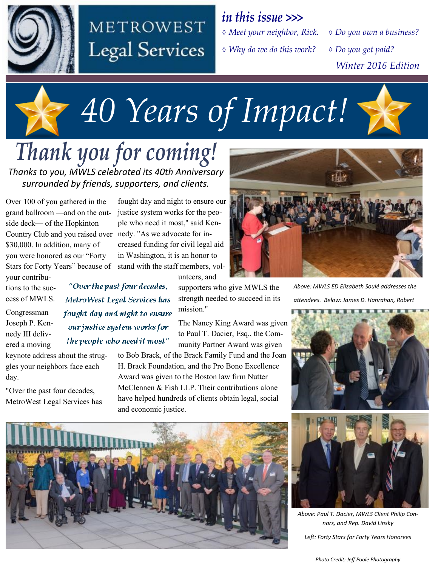

## METROWEST **Legal Services**

 *Meet your neighbor, Rick. Why do we do this work? in this issue >>>*

*Do you own a business?* 

 *Do you get paid? Winter 2016 Edition*

# *40 Years of Impact!*

*Thank you for coming! Thanks to you, MWLS celebrated its 40th Anniversary surrounded by friends, supporters, and clients.* 

> "Over the past four decades, Metro West Legal Services has fought day and night to ensure our justice system works for the people who need it most"

Over 100 of you gathered in the grand ballroom —and on the outside deck— of the Hopkinton Country Club and you raised over nedy. "As we advocate for in-\$30,000. In addition, many of you were honored as our "Forty Stars for Forty Years" because of your contribu-

tions to the success of MWLS.

Congressman Joseph P. Kennedy III delivered a moving

keynote address about the struggles your neighbors face each day.

"Over the past four decades, MetroWest Legal Services has

fought day and night to ensure our justice system works for the people who need it most," said Kencreased funding for civil legal aid in Washington, it is an honor to stand with the staff members, volunteers, and

> supporters who give MWLS the strength needed to succeed in its mission."

The Nancy King Award was given to Paul T. Dacier, Esq., the Community Partner Award was given

to Bob Brack, of the Brack Family Fund and the Joan H. Brack Foundation, and the Pro Bono Excellence Award was given to the Boston law firm Nutter McClennen & Fish LLP. Their contributions alone have helped hundreds of clients obtain legal, social and economic justice.



*Above: MWLS ED Elizabeth Soulé addresses the attendees. Below: James D. Hanrahan, Robert* 





*Above: Paul T. Dacier, MWLS Client Philip Connors, and Rep. David Linsky Left: Forty Stars for Forty Years Honorees*

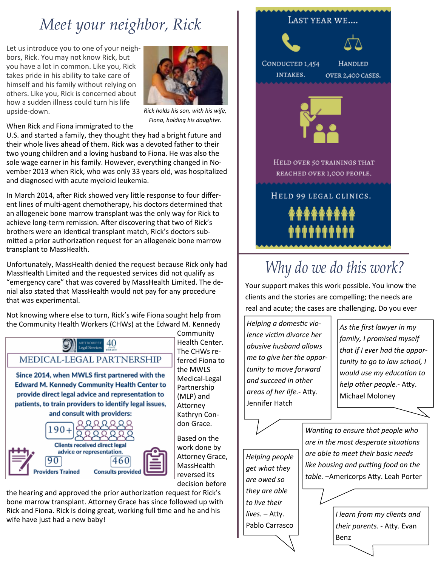## *Meet your neighbor, Rick*

Let us introduce you to one of your neighbors, Rick. You may not know Rick, but you have a lot in common. Like you, Rick takes pride in his ability to take care of himself and his family without relying on others. Like you, Rick is concerned about how a sudden illness could turn his life upside-down.



*Rick holds his son, with his wife, Fiona, holding his daughter.*

When Rick and Fiona immigrated to the

U.S. and started a family, they thought they had a bright future and their whole lives ahead of them. Rick was a devoted father to their two young children and a loving husband to Fiona. He was also the sole wage earner in his family. However, everything changed in November 2013 when Rick, who was only 33 years old, was hospitalized and diagnosed with acute myeloid leukemia.

In March 2014, after Rick showed very little response to four different lines of multi-agent chemotherapy, his doctors determined that an allogeneic bone marrow transplant was the only way for Rick to achieve long-term remission. After discovering that two of Rick's brothers were an identical transplant match, Rick's doctors submitted a prior authorization request for an allogeneic bone marrow transplant to MassHealth.

Unfortunately, MassHealth denied the request because Rick only had MassHealth Limited and the requested services did not qualify as "emergency care" that was covered by MassHealth Limited. The denial also stated that MassHealth would not pay for any procedure that was experimental.

Not knowing where else to turn, Rick's wife Fiona sought help from the Community Health Workers (CHWs) at the Edward M. Kennedy



**Community** Health Center. The CHWs referred Fiona to the MWLS Medical-Legal Partnership (MLP) and Attorney Kathryn Condon Grace.

Based on the work done by Attorney Grace, **MassHealth** reversed its decision before

the hearing and approved the prior authorization request for Rick's bone marrow transplant. Attorney Grace has since followed up with Rick and Fiona. Rick is doing great, working full time and he and his wife have just had a new baby!



## *Why do we do this work?*

Your support makes this work possible. You know the clients and the stories are compelling; the needs are real and acute; the cases are challenging. Do you ever

*Helping a domestic violence victim divorce her abusive husband allows me to give her the opportunity to move forward and succeed in other areas of her life.-* Atty. Jennifer Hatch

*As the first lawyer in my family, I promised myself that if I ever had the opportunity to go to law school, I would use my education to help other people.-* Atty. Michael Moloney

*Helping people get what they are owed so they are able to live their lives.* – Atty. Pablo Carrasco *Wanting to ensure that people who are in the most desperate situations are able to meet their basic needs like housing and putting food on the table. –*Americorps Atty. Leah Porter

> *I learn from my clients and their parents.* - Atty. Evan Benz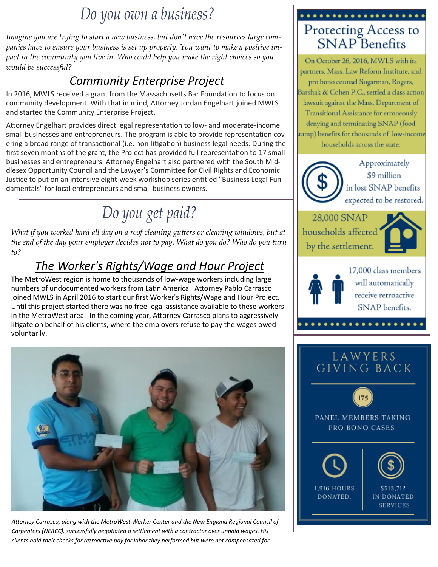### *Do you own a business?*

*Imagine you are trying to start a new business, but don't have the resources large companies have to ensure your business is set up properly. You want to make a positive impact in the community you live in. Who could help you make the right choices so you would be successful?*

#### *Community Enterprise Project*

In 2016, MWLS received a grant from the Massachusetts Bar Foundation to focus on community development. With that in mind, Attorney Jordan Engelhart joined MWLS and started the Community Enterprise Project.

Attorney Engelhart provides direct legal representation to low- and moderate-income small businesses and entrepreneurs. The program is able to provide representation covering a broad range of transactional (i.e. non-litigation) business legal needs. During the first seven months of the grant, the Project has provided full representation to 17 small businesses and entrepreneurs. Attorney Engelhart also partnered with the South Middlesex Opportunity Council and the Lawyer's Committee for Civil Rights and Economic Justice to put on an intensive eight-week workshop series entitled "Business Legal Fundamentals" for local entrepreneurs and small business owners.

## *Do you get paid?*

*What if you worked hard all day on a roof cleaning gutters or cleaning windows, but at the end of the day your employer decides not to pay. What do you do? Who do you turn to?* 

#### *The Worker's Rights/Wage and Hour Project*

The MetroWest region is home to thousands of low-wage workers including large numbers of undocumented workers from Latin America. Attorney Pablo Carrasco joined MWLS in April 2016 to start our first Worker's Rights/Wage and Hour Project. Until this project started there was no free legal assistance available to these workers in the MetroWest area. In the coming year, Attorney Carrasco plans to aggressively litigate on behalf of his clients, where the employers refuse to pay the wages owed voluntarily.



*Attorney Carrasco, along with the MetroWest Worker Center and the New England Regional Council of Carpenters (NERCC), successfully negotiated a settlement with a contractor over unpaid wages. His clients hold their checks for retroactive pay for labor they performed but were not compensated for.*



On October 26, 2016, MWLS with its partners, Mass. Law Reform Institute, and pro bono counsel Sugarman, Rogers, Barshak & Cohen P.C., settled a class action lawsuit against the Mass. Department of Transitional Assistance for erroneously denying and terminating SNAP (food stamp) benefits for thousands of low-income households across the state.

Approximately \$9 million in lost SNAP benefits expected to be restored.

28,000 SNAP households affected by the settlement.





17.000 class members will automatically receive retroactive SNAP benefits.

#### LAWYERS LAWYERS<br>Giving Back







IN DONATED **SERVICES**